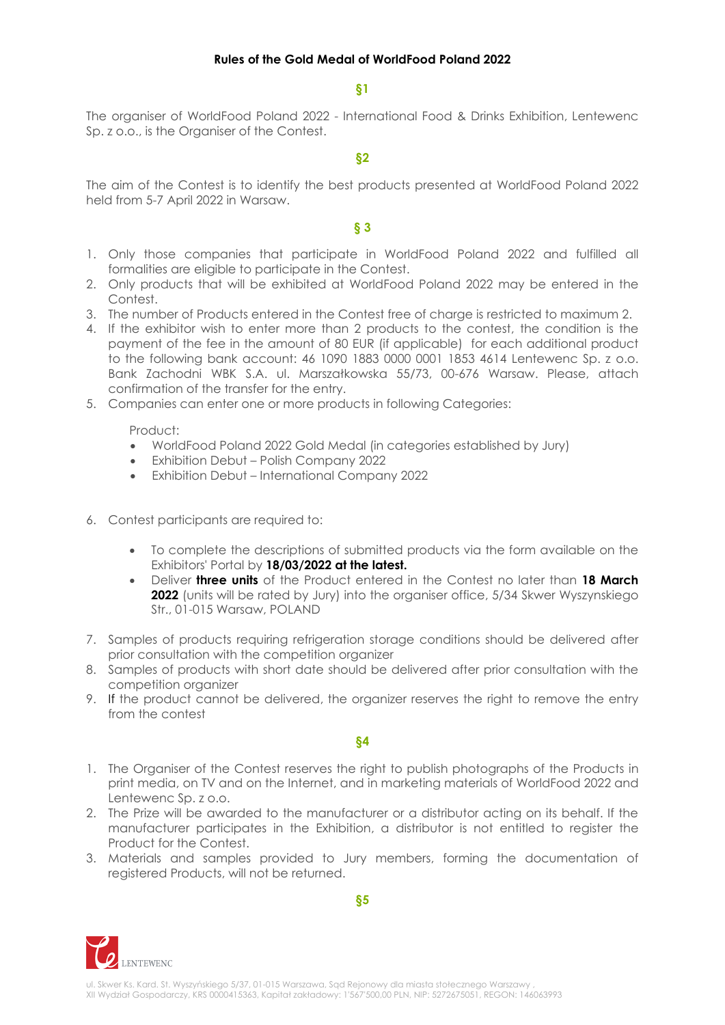**§1**

The organiser of WorldFood Poland 2022 - International Food & Drinks Exhibition, Lentewenc Sp. z o.o., is the Organiser of the Contest.

## **§2**

The aim of the Contest is to identify the best products presented at WorldFood Poland 2022 held from 5-7 April 2022 in Warsaw.

## **§ 3**

- 1. Only those companies that participate in WorldFood Poland 2022 and fulfilled all formalities are eligible to participate in the Contest.
- 2. Only products that will be exhibited at WorldFood Poland 2022 may be entered in the Contest.
- 3. The number of Products entered in the Contest free of charge is restricted to maximum 2.
- 4. If the exhibitor wish to enter more than 2 products to the contest, the condition is the payment of the fee in the amount of 80 EUR (if applicable) for each additional product to the following bank account: 46 1090 1883 0000 0001 1853 4614 Lentewenc Sp. z o.o. Bank Zachodni WBK S.A. ul. Marszałkowska 55/73, 00-676 Warsaw. Please, attach confirmation of the transfer for the entry.
- 5. Companies can enter one or more products in following Categories:

Product:

- WorldFood Poland 2022 Gold Medal (in categories established by Jury)
- Exhibition Debut Polish Company 2022
- Exhibition Debut International Company 2022
- 6. Contest participants are required to:
	- To complete the descriptions of submitted products via the form available on the Exhibitors' Portal by **18/03/2022 at the latest.**
	- Deliver **three units** of the Product entered in the Contest no later than **18 March 2022** (units will be rated by Jury) into the organiser office, 5/34 Skwer Wyszynskiego Str., 01-015 Warsaw, POLAND
- 7. Samples of products requiring refrigeration storage conditions should be delivered after prior consultation with the competition organizer
- 8. Samples of products with short date should be delivered after prior consultation with the competition organizer
- 9. If the product cannot be delivered, the organizer reserves the right to remove the entry from the contest

**§4**

- 1. The Organiser of the Contest reserves the right to publish photographs of the Products in print media, on TV and on the Internet, and in marketing materials of WorldFood 2022 and Lentewenc Sp. z o.o.
- 2. The Prize will be awarded to the manufacturer or a distributor acting on its behalf. If the manufacturer participates in the Exhibition, a distributor is not entitled to register the Product for the Contest.
- 3. Materials and samples provided to Jury members, forming the documentation of registered Products, will not be returned.



**§5**